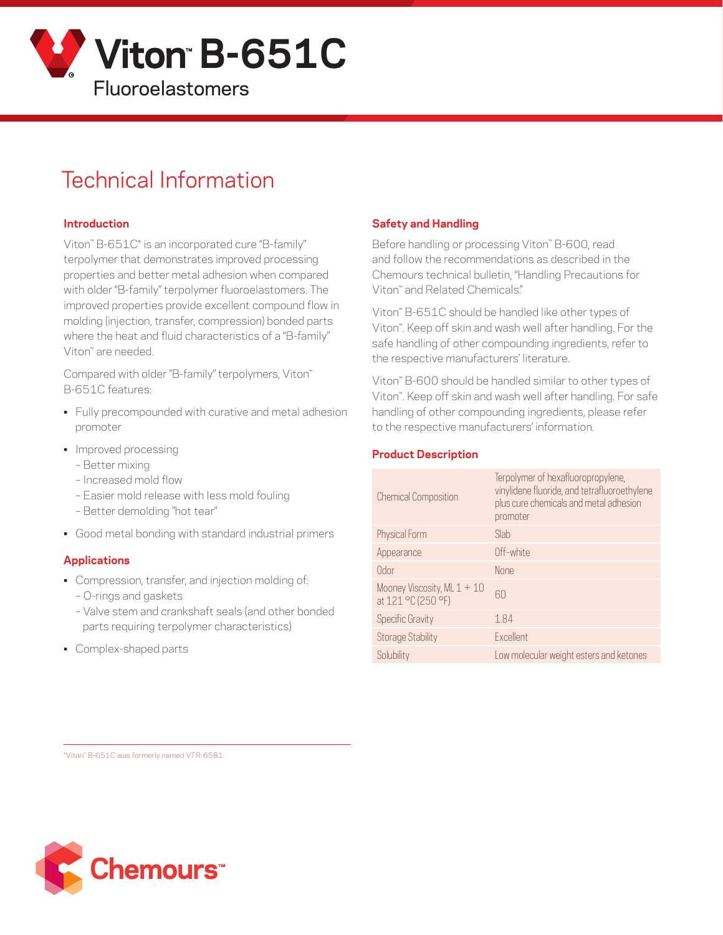

# Technical Information

#### **Introduction**

Viton™ B-651C\* is an incorporated cure "B-family" terpolymer that demonstrates improved processing properties and better metal adhesion when compared with older "B-family" terpolymer fluoroelastomers. The improved properties provide excellent compound flow in molding (injection, transfer, compression) bonded parts where the heat and fluid characteristics of a "B-family" Viton™ are needed.

Compared with older "B-family" terpolymers, Viton™ B-651C features:

- Fully precompounded with curative and metal adhesion promoter
- Improved processing
	- Better mixing
	- Increased mold flow
	- Easier mold release with less mold fouling
	- Better demolding "hot tear"
- Good metal bonding with standard industrial primers

#### **Applications**

- Compression, transfer, and injection molding of:
	- O-rings and gaskets
	- Valve stem and crankshaft seals (and other bonded parts requiring terpolymer characteristics)
- Complex-shaped parts

### **Safety and Handling**

Before handling or processing Viton™ B-600, read and follow the recommendations as described in the Chemours technical bulletin, "Handling Precautions for Viton™ and Related Chemicals."

Viton™ B-651C should be handled like other types of Viton™. Keep off skin and wash well after handling. For the safe handling of other compounding ingredients, refer to the respective manufacturers' literature.

Viton™ B-600 should be handled similar to other types of Viton™. Keep off skin and wash well after handling. For safe handling of other compounding ingredients, please refer to the respective manufacturers' information.

#### **Product Description**

| <b>Chemical Composition</b>                         | Terpolymer of hexafluoropropylene,<br>vinylidene fluoride, and tetrafluoroethylene<br>plus cure chemicals and metal adhesion<br>promoter |
|-----------------------------------------------------|------------------------------------------------------------------------------------------------------------------------------------------|
| Physical Form                                       | Slab                                                                                                                                     |
| Appearance                                          | Off-white                                                                                                                                |
| Odor                                                | <b>None</b>                                                                                                                              |
| Mooney Viscosity, ML $1 + 10$<br>at 121 °C (250 °F) | 60                                                                                                                                       |
| Specific Gravity                                    | 1.84                                                                                                                                     |
| <b>Storage Stability</b>                            | <b>Fxcellent</b>                                                                                                                         |
| Solubility                                          | Low molecular weight esters and ketones                                                                                                  |

\*Viton™ B-651C was formerly named VTR-6581.

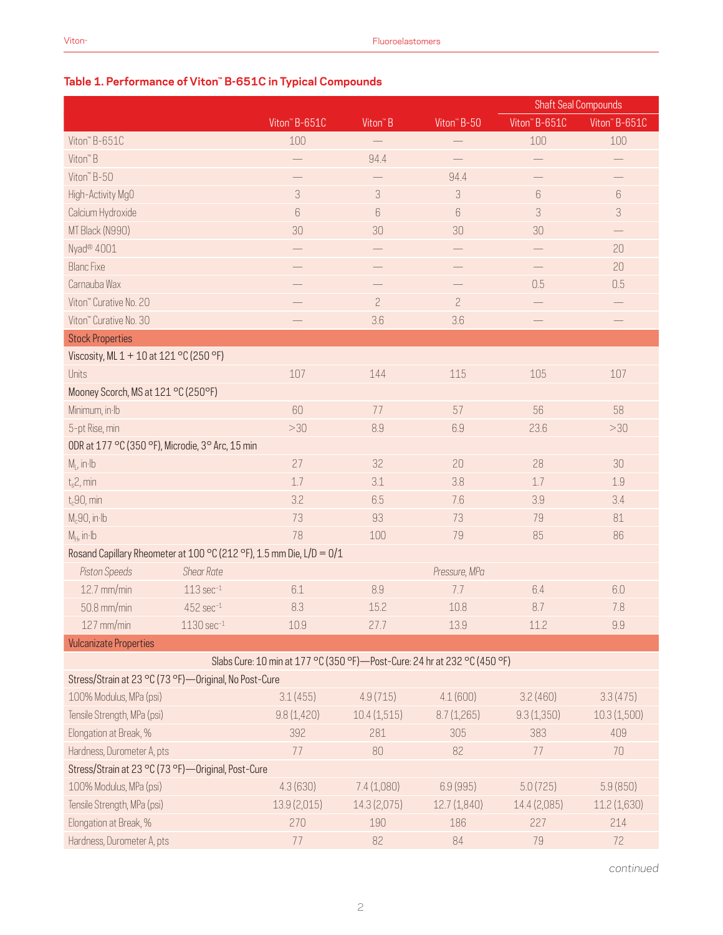# **Table 1. Performance of Viton™ B-651C in Typical Compounds**

|                                                       |                         |                                                                           |                      |                         |               | <b>Shaft Seal Compounds</b> |  |
|-------------------------------------------------------|-------------------------|---------------------------------------------------------------------------|----------------------|-------------------------|---------------|-----------------------------|--|
|                                                       |                         | Viton" B-651C                                                             | Viton <sup>™</sup> B | Viton <sup>™</sup> B-50 | Viton" B-651C | Viton" B-651C               |  |
| Viton" B-651C                                         |                         | 100                                                                       |                      |                         | 100           | 100                         |  |
| Viton" B                                              |                         |                                                                           | 94.4                 |                         |               |                             |  |
| Viton" B-50                                           |                         |                                                                           |                      | 94.4                    |               |                             |  |
| High-Activity MgO                                     |                         | 3                                                                         | $\mathfrak{Z}$       | 3                       | $6\,$         | 6                           |  |
| Calcium Hydroxide                                     |                         | 6                                                                         | 6                    | 6                       | $\sqrt{3}$    | 3                           |  |
| MT Black (N990)                                       |                         | 30                                                                        | 30                   | 30                      | 30            |                             |  |
| Nyad <sup>®</sup> 4001                                |                         |                                                                           |                      |                         |               | 20                          |  |
| <b>Blanc</b> Fixe                                     |                         |                                                                           |                      |                         |               | 20                          |  |
| Carnauba Wax                                          |                         |                                                                           |                      |                         | 0.5           | 0.5                         |  |
| Viton" Curative No. 20                                |                         |                                                                           | $\overline{c}$       | $\overline{c}$          |               |                             |  |
| Viton" Curative No. 30                                |                         |                                                                           | 3.6                  | 3.6                     |               |                             |  |
| <b>Stock Properties</b>                               |                         |                                                                           |                      |                         |               |                             |  |
| Viscosity, ML 1 + 10 at 121 °C (250 °F)               |                         |                                                                           |                      |                         |               |                             |  |
| Units                                                 |                         | 107                                                                       | 144                  | 115                     | 105           | 107                         |  |
| Mooney Scorch, MS at 121 °C (250°F)                   |                         |                                                                           |                      |                         |               |                             |  |
| Minimum, in Ib                                        |                         | 60                                                                        | 77                   | 57                      | 56            | 58                          |  |
| 5-pt Rise, min                                        |                         | >30                                                                       | 8.9                  | 6.9                     | 23.6          | >30                         |  |
| ODR at 177 °C (350 °F), Microdie, 3° Arc, 15 min      |                         |                                                                           |                      |                         |               |                             |  |
| $M1$ , in Ib                                          |                         | 27                                                                        | 32                   | 20                      | 28            | 30                          |  |
| $t_s$ 2, min                                          |                         | 1.7                                                                       | 3.1                  | 3.8                     | 1.7           | 1.9                         |  |
| $t_c$ 90, min                                         |                         | 3.2                                                                       | 6.5                  | 7.6                     | 3.9           | 3.4                         |  |
| $M_c$ 90, in·lb                                       |                         | 73                                                                        | 93                   | 73                      | 79            | 81                          |  |
| $M_H$ , in Ib                                         |                         | 78                                                                        | 100                  | 79                      | 85            | 86                          |  |
|                                                       |                         | Rosand Capillary Rheometer at 100 °C (212 °F), 1.5 mm Die, L/D = 0/1      |                      |                         |               |                             |  |
| <b>Piston Speeds</b>                                  | <b>Shear Rate</b>       |                                                                           |                      | Pressure, MPa           |               |                             |  |
| 12.7 mm/min                                           | $113 sec-1$             | 6.1                                                                       | 8.9                  | 7.7                     | 6.4           | 6.0                         |  |
| 50.8 mm/min                                           | $452$ sec $^{-1}$       | 8.3                                                                       | 15.2                 | 10.8                    | 8.7           | 7.8                         |  |
| $127$ mm/min                                          | $1130 \text{ sec}^{-1}$ | 10.9                                                                      | 27.7                 | 13.9                    | 11.2          | 9.9                         |  |
| <b>Vulcanizate Properties</b>                         |                         |                                                                           |                      |                         |               |                             |  |
|                                                       |                         | Slabs Cure: 10 min at 177 °C (350 °F)-Post-Cure: 24 hr at 232 °C (450 °F) |                      |                         |               |                             |  |
| Stress/Strain at 23 °C (73 °F)-Original, No Post-Cure |                         |                                                                           |                      |                         |               |                             |  |
| 100% Modulus, MPa (psi)                               |                         | 3.1(455)                                                                  | 4.9(715)             | 4.1(600)                | 3.2(460)      | 3.3(475)                    |  |
| Tensile Strength, MPa (psi)                           |                         | 9.8(1,420)                                                                | 10.4(1,515)          | 8.7(1,265)              | 9.3(1,350)    | 10.3(1,500)                 |  |
| Elongation at Break, %                                |                         | 392                                                                       | 281                  | 305                     | 383           | 409                         |  |
| Hardness, Durometer A, pts                            |                         | 77                                                                        | 80                   | 82                      | 77            | 70                          |  |
| Stress/Strain at 23 °C (73 °F) - Original, Post-Cure  |                         |                                                                           |                      |                         |               |                             |  |
| 100% Modulus, MPa (psi)                               |                         | 4.3(630)                                                                  | 7.4 (1,080)          | 6.9(995)                | 5.0(725)      | 5.9(850)                    |  |
| Tensile Strength, MPa (psi)                           |                         | 13.9 (2,015)                                                              | 14.3(2,075)          | 12.7(1,840)             | 14.4 (2,085)  | 11.2(1,630)                 |  |
| Elongation at Break, %                                |                         | 270                                                                       | 190                  | 186                     | 227           | 214                         |  |
| Hardness, Durometer A, pts                            |                         | 77                                                                        | 82                   | 84                      | 79            | 72                          |  |

*continued*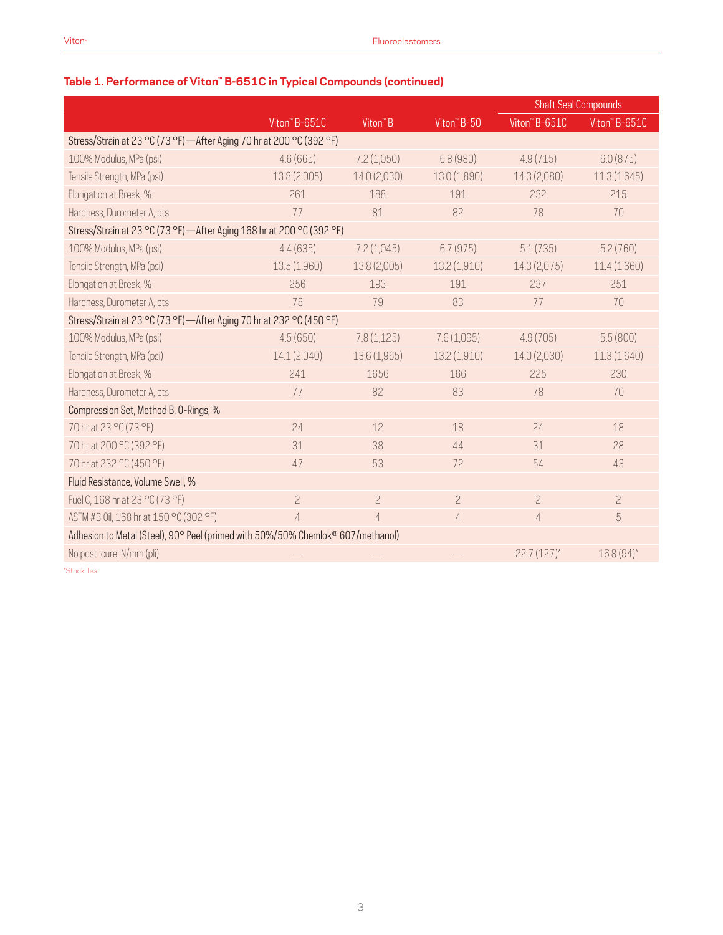# Shaft Seal Compounds Viton™ B-651C Viton™ B Viton™ B-50 Viton™ B-651C Viton™ B-651C Stress/Strain at 23 °C (73 °F)—After Aging 70 hr at 200 °C (392 °F) 100% Modulus, MPa (psi) 4.6 (665) 7.2 (1,050) 6.8 (980) 4.9 (715) 6.0 (875) Tensile Strength, MPa (psi) 13.8 (2,005) 14.0 (2,030) 13.0 (1,890) 14.3 (2,080) 11.3 (1,645) Elongation at Break, % 261 232 25 Hardness, Durometer A, pts 70 81 82 78 70 Stress/Strain at 23 °C (73 °F)—After Aging 168 hr at 200 °C (392 °F) 100% Modulus, MPa (psi) 4.4 (635) 7.2 (1,045) 6.7 (975) 5.1 (735) 5.2 (760) Tensile Strength, MPa (psi) 13.5 (1,960) 13.8 (2,005) 13.8 (2,005) 13.2 (1,910) 14.3 (2,075) 11.4 (1,660) Elongation at Break, % 251 251 256 256 256 256 256 251 237 251 251 251 251 Hardness, Durometer A, pts 70 83 77 70 70 83 77 70 70 70 83 77 70 70 70 70 70 83 77 70 70 70 70 70 83 77 70 70 Stress/Strain at 23 °C (73 °F)—After Aging 70 hr at 232 °C (450 °F) 100% Modulus, MPa (psi) 4.5 (650) 7.8 (1,125) 7.6 (1,095) 4.9 (705) 5.5 (800) Tensile Strength, MPa (psi) 14.1 (2,040) 13.6 (1,965) 13.2 (1,910) 14.0 (2,030) 11.3 (1,640) Elongation at Break, % 241 1656 166 225 230 Hardness, Durometer A, pts 70 82 83 78 70 70 82 83 78 79 70 82 83 78 70 70 82 83 78 79 70 82 83 78 70 82 83 79 70 82 83 79 82 83 79 70 82 83 79 82 83 79 82 83 79 82 83 83 84 84 85 86 86 86 87 88 88 88 88 88 88 88 88 88 88 Compression Set, Method B, O-Rings, % 70 hr at 23 °C (73 °F) 24 24 12 18 24 18 70 hr at 200 °C (392 °F) 31 38 44 31 38 31 38 31 38 70 hr at 232 °C (450 °F) 47 53 72 54 43 Fluid Resistance, Volume Swell, % Fuel C, 168 hr at 23 °C (73 °F) 2 2 2 2 2 ASTM #3 Oil, 168 hr at 150 °C (302 °F) 4 4 4 4 5 5 4 5 5 4 5 4 4 5 5 4 5 5 4 5 5 4 5 5 4 5 5 4 5 5 4 5 5 4 5 4 5 5 4 5 5 4 5 5 4 5 5 6 5 5 6 7 6  $\pm 0.1$ Adhesion to Metal (Steel), 90° Peel (primed with 50%/50% Chemlok® 607/methanol)

No post-cure, N/mm (pli)  $22.7 (127)^*$   $16.8 (94)^*$ 

#### **Table 1. Performance of Viton™ B-651C in Typical Compounds (continued)**

\*Stock Tear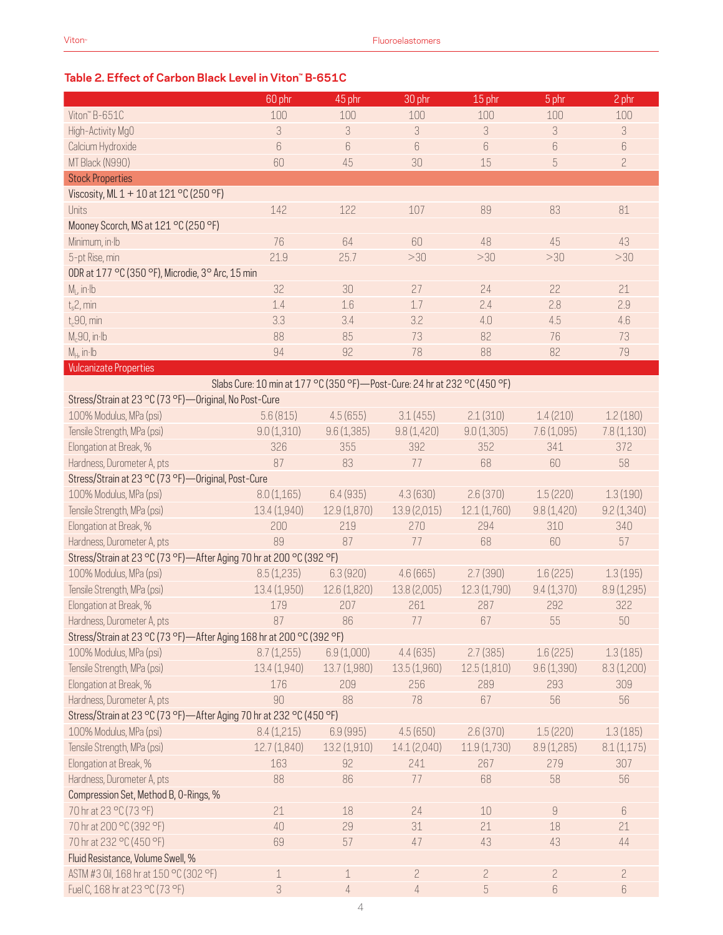#### **Table 2. Effect of Carbon Black Level in Viton™ B-651C**

| Viton" B-651C<br>100<br>100<br>100<br>100<br>100<br>100<br>3<br>High-Activity MgO<br>3<br>3<br>3<br>3<br>3<br>6<br>6<br>6<br>6<br>6<br>Calcium Hydroxide<br>6<br>MT Black (N990)<br>60<br>5<br>$\overline{c}$<br>45<br>30<br>15<br><b>Stock Properties</b><br>Viscosity, ML 1 + 10 at 121 °C (250 °F)<br>142<br>83<br>81<br>Units<br>122<br>107<br>89<br>Mooney Scorch, MS at 121 °C (250 °F)<br>76<br>64<br>45<br>Minimum, in Ib<br>60<br>48<br>43<br>5-pt Rise, min<br>21.9<br>25.7<br>>30<br>>30<br>>30<br>>30<br>ODR at 177 °C (350 °F), Microdie, 3° Arc, 15 min<br>32<br>27<br>24<br>22<br>21<br>$M1$ , in Ib<br>30<br>1.6<br>2.4<br>1.4<br>2.8<br>2.9<br>$t_s$ 2, min<br>1.7<br>3.3<br>3.4<br>3.2<br>4.0<br>4.5<br>4.6<br>$t_c$ 90, min<br>88<br>$M_c90$ , in Ib<br>85<br>73<br>82<br>76<br>73<br>94<br>92<br>78<br>88<br>82<br>79<br>$M_H$ , in Ib<br><b>Vulcanizate Properties</b><br>Slabs Cure: 10 min at 177 °C (350 °F)-Post-Cure: 24 hr at 232 °C (450 °F)<br>Stress/Strain at 23 °C (73 °F) - Original, No Post-Cure<br>100% Modulus, MPa (psi)<br>5.6(815)<br>4.5(655)<br>3.1(455)<br>2.1(310)<br>1.4(210)<br>1.2(180)<br>Tensile Strength, MPa (psi)<br>9.0(1,310)<br>9.6(1,385)<br>9.8(1,420)<br>9.0(1,305)<br>7.6 (1,095)<br>7.8(1,130)<br>Elongation at Break, %<br>326<br>355<br>392<br>352<br>341<br>372<br>Hardness, Durometer A, pts<br>87<br>83<br>77<br>68<br>60<br>58<br>Stress/Strain at 23 °C (73 °F) - Original, Post-Cure<br>2.6(370)<br>1.5(220)<br>1.3(190)<br>100% Modulus, MPa (psi)<br>8.0(1,165)<br>6.4(935)<br>4.3(630)<br>Tensile Strength, MPa (psi)<br>12.9 (1,870)<br>9.2(1,340)<br>13.4 (1,940)<br>13.9(2,015)<br>12.1(1,760)<br>9.8(1,420)<br>Elongation at Break, %<br>200<br>219<br>270<br>294<br>310<br>340<br>89<br>87<br>Hardness, Durometer A, pts<br>68<br>60<br>57<br>77<br>Stress/Strain at 23 °C (73 °F)-After Aging 70 hr at 200 °C (392 °F)<br>100% Modulus, MPa (psi)<br>8.5(1,235)<br>2.7(390)<br>1.6(225)<br>1.3(195)<br>6.3(920)<br>4.6(665)<br>Tensile Strength, MPa (psi)<br>13.4 (1,950)<br>12.6 (1,820)<br>13.8 (2,005)<br>12.3(1,790)<br>9.4(1,370)<br>8.9 (1,295)<br>261<br>Elongation at Break, %<br>179<br>207<br>287<br>292<br>322<br>87<br>55<br>50<br>Hardness, Durometer A, pts<br>86<br>67<br>77<br>Stress/Strain at 23 °C (73 °F)-After Aging 168 hr at 200 °C (392 °F)<br>4.4(635)<br>2.7(385)<br>1.6(225)<br>1.3(185)<br>100% Modulus, MPa (psi)<br>8.7(1,255)<br>6.9(1,000)<br>Tensile Strength, MPa (psi)<br>13.4 (1,940)<br>13.7 (1,980)<br>13.5 (1,960)<br>12.5(1,810)<br>9.6(1,390)<br>8.3(1,200)<br>Elongation at Break, %<br>209<br>176<br>256<br>289<br>293<br>309<br>90<br>88<br>78<br>67<br>56<br>56<br>Hardness, Durometer A, pts<br>Stress/Strain at 23 °C (73 °F)-After Aging 70 hr at 232 °C (450 °F)<br>100% Modulus, MPa (psi)<br>8.4(1,215)<br>4.5(650)<br>2.6(370)<br>1.5(220)<br>1.3(185)<br>6.9(995)<br>Tensile Strength, MPa (psi)<br>12.7(1,840)<br>13.2 (1,910)<br>14.1 (2,040)<br>11.9(1,730)<br>8.9(1,285)<br>8.1(1,175)<br>Elongation at Break, %<br>163<br>92<br>267<br>307<br>241<br>279<br>88<br>86<br>58<br>Hardness, Durometer A, pts<br>77<br>68<br>56<br>Compression Set, Method B, O-Rings, %<br>70 hr at 23 °C (73 °F)<br>21<br>$6\,$<br>18<br>24<br>$10$<br>9<br>70 hr at 200 °C (392 °F)<br>40<br>29<br>31<br>21<br>18<br>21<br>70 hr at 232 °C (450 °F)<br>69<br>57<br>47<br>43<br>43<br>44<br>Fluid Resistance, Volume Swell, %<br>ASTM #3 0il, 168 hr at 150 °C (302 °F)<br>$\overline{c}$<br>$\overline{c}$<br>$\overline{c}$<br>$\overline{c}$<br>$\mathbf 1$<br>1 |                                 | 60 phr | 45 phr         | 30 phr     | 15 phr     | 5 phr | 2 phr |
|------------------------------------------------------------------------------------------------------------------------------------------------------------------------------------------------------------------------------------------------------------------------------------------------------------------------------------------------------------------------------------------------------------------------------------------------------------------------------------------------------------------------------------------------------------------------------------------------------------------------------------------------------------------------------------------------------------------------------------------------------------------------------------------------------------------------------------------------------------------------------------------------------------------------------------------------------------------------------------------------------------------------------------------------------------------------------------------------------------------------------------------------------------------------------------------------------------------------------------------------------------------------------------------------------------------------------------------------------------------------------------------------------------------------------------------------------------------------------------------------------------------------------------------------------------------------------------------------------------------------------------------------------------------------------------------------------------------------------------------------------------------------------------------------------------------------------------------------------------------------------------------------------------------------------------------------------------------------------------------------------------------------------------------------------------------------------------------------------------------------------------------------------------------------------------------------------------------------------------------------------------------------------------------------------------------------------------------------------------------------------------------------------------------------------------------------------------------------------------------------------------------------------------------------------------------------------------------------------------------------------------------------------------------------------------------------------------------------------------------------------------------------------------------------------------------------------------------------------------------------------------------------------------------------------------------------------------------------------------------------------------------------------------------------------------------------------------------------------------------------------------------------------------------------------------------------------------------------------------------------------------------------------------------------------------------------------------------------------------------------------------------------------------------------------------------------------------------------------------------------------------------------------------------------------------------------------------------|---------------------------------|--------|----------------|------------|------------|-------|-------|
|                                                                                                                                                                                                                                                                                                                                                                                                                                                                                                                                                                                                                                                                                                                                                                                                                                                                                                                                                                                                                                                                                                                                                                                                                                                                                                                                                                                                                                                                                                                                                                                                                                                                                                                                                                                                                                                                                                                                                                                                                                                                                                                                                                                                                                                                                                                                                                                                                                                                                                                                                                                                                                                                                                                                                                                                                                                                                                                                                                                                                                                                                                                                                                                                                                                                                                                                                                                                                                                                                                                                                                                          |                                 |        |                |            |            |       |       |
|                                                                                                                                                                                                                                                                                                                                                                                                                                                                                                                                                                                                                                                                                                                                                                                                                                                                                                                                                                                                                                                                                                                                                                                                                                                                                                                                                                                                                                                                                                                                                                                                                                                                                                                                                                                                                                                                                                                                                                                                                                                                                                                                                                                                                                                                                                                                                                                                                                                                                                                                                                                                                                                                                                                                                                                                                                                                                                                                                                                                                                                                                                                                                                                                                                                                                                                                                                                                                                                                                                                                                                                          |                                 |        |                |            |            |       |       |
|                                                                                                                                                                                                                                                                                                                                                                                                                                                                                                                                                                                                                                                                                                                                                                                                                                                                                                                                                                                                                                                                                                                                                                                                                                                                                                                                                                                                                                                                                                                                                                                                                                                                                                                                                                                                                                                                                                                                                                                                                                                                                                                                                                                                                                                                                                                                                                                                                                                                                                                                                                                                                                                                                                                                                                                                                                                                                                                                                                                                                                                                                                                                                                                                                                                                                                                                                                                                                                                                                                                                                                                          |                                 |        |                |            |            |       |       |
|                                                                                                                                                                                                                                                                                                                                                                                                                                                                                                                                                                                                                                                                                                                                                                                                                                                                                                                                                                                                                                                                                                                                                                                                                                                                                                                                                                                                                                                                                                                                                                                                                                                                                                                                                                                                                                                                                                                                                                                                                                                                                                                                                                                                                                                                                                                                                                                                                                                                                                                                                                                                                                                                                                                                                                                                                                                                                                                                                                                                                                                                                                                                                                                                                                                                                                                                                                                                                                                                                                                                                                                          |                                 |        |                |            |            |       |       |
|                                                                                                                                                                                                                                                                                                                                                                                                                                                                                                                                                                                                                                                                                                                                                                                                                                                                                                                                                                                                                                                                                                                                                                                                                                                                                                                                                                                                                                                                                                                                                                                                                                                                                                                                                                                                                                                                                                                                                                                                                                                                                                                                                                                                                                                                                                                                                                                                                                                                                                                                                                                                                                                                                                                                                                                                                                                                                                                                                                                                                                                                                                                                                                                                                                                                                                                                                                                                                                                                                                                                                                                          |                                 |        |                |            |            |       |       |
|                                                                                                                                                                                                                                                                                                                                                                                                                                                                                                                                                                                                                                                                                                                                                                                                                                                                                                                                                                                                                                                                                                                                                                                                                                                                                                                                                                                                                                                                                                                                                                                                                                                                                                                                                                                                                                                                                                                                                                                                                                                                                                                                                                                                                                                                                                                                                                                                                                                                                                                                                                                                                                                                                                                                                                                                                                                                                                                                                                                                                                                                                                                                                                                                                                                                                                                                                                                                                                                                                                                                                                                          |                                 |        |                |            |            |       |       |
|                                                                                                                                                                                                                                                                                                                                                                                                                                                                                                                                                                                                                                                                                                                                                                                                                                                                                                                                                                                                                                                                                                                                                                                                                                                                                                                                                                                                                                                                                                                                                                                                                                                                                                                                                                                                                                                                                                                                                                                                                                                                                                                                                                                                                                                                                                                                                                                                                                                                                                                                                                                                                                                                                                                                                                                                                                                                                                                                                                                                                                                                                                                                                                                                                                                                                                                                                                                                                                                                                                                                                                                          |                                 |        |                |            |            |       |       |
|                                                                                                                                                                                                                                                                                                                                                                                                                                                                                                                                                                                                                                                                                                                                                                                                                                                                                                                                                                                                                                                                                                                                                                                                                                                                                                                                                                                                                                                                                                                                                                                                                                                                                                                                                                                                                                                                                                                                                                                                                                                                                                                                                                                                                                                                                                                                                                                                                                                                                                                                                                                                                                                                                                                                                                                                                                                                                                                                                                                                                                                                                                                                                                                                                                                                                                                                                                                                                                                                                                                                                                                          |                                 |        |                |            |            |       |       |
|                                                                                                                                                                                                                                                                                                                                                                                                                                                                                                                                                                                                                                                                                                                                                                                                                                                                                                                                                                                                                                                                                                                                                                                                                                                                                                                                                                                                                                                                                                                                                                                                                                                                                                                                                                                                                                                                                                                                                                                                                                                                                                                                                                                                                                                                                                                                                                                                                                                                                                                                                                                                                                                                                                                                                                                                                                                                                                                                                                                                                                                                                                                                                                                                                                                                                                                                                                                                                                                                                                                                                                                          |                                 |        |                |            |            |       |       |
|                                                                                                                                                                                                                                                                                                                                                                                                                                                                                                                                                                                                                                                                                                                                                                                                                                                                                                                                                                                                                                                                                                                                                                                                                                                                                                                                                                                                                                                                                                                                                                                                                                                                                                                                                                                                                                                                                                                                                                                                                                                                                                                                                                                                                                                                                                                                                                                                                                                                                                                                                                                                                                                                                                                                                                                                                                                                                                                                                                                                                                                                                                                                                                                                                                                                                                                                                                                                                                                                                                                                                                                          |                                 |        |                |            |            |       |       |
|                                                                                                                                                                                                                                                                                                                                                                                                                                                                                                                                                                                                                                                                                                                                                                                                                                                                                                                                                                                                                                                                                                                                                                                                                                                                                                                                                                                                                                                                                                                                                                                                                                                                                                                                                                                                                                                                                                                                                                                                                                                                                                                                                                                                                                                                                                                                                                                                                                                                                                                                                                                                                                                                                                                                                                                                                                                                                                                                                                                                                                                                                                                                                                                                                                                                                                                                                                                                                                                                                                                                                                                          |                                 |        |                |            |            |       |       |
|                                                                                                                                                                                                                                                                                                                                                                                                                                                                                                                                                                                                                                                                                                                                                                                                                                                                                                                                                                                                                                                                                                                                                                                                                                                                                                                                                                                                                                                                                                                                                                                                                                                                                                                                                                                                                                                                                                                                                                                                                                                                                                                                                                                                                                                                                                                                                                                                                                                                                                                                                                                                                                                                                                                                                                                                                                                                                                                                                                                                                                                                                                                                                                                                                                                                                                                                                                                                                                                                                                                                                                                          |                                 |        |                |            |            |       |       |
|                                                                                                                                                                                                                                                                                                                                                                                                                                                                                                                                                                                                                                                                                                                                                                                                                                                                                                                                                                                                                                                                                                                                                                                                                                                                                                                                                                                                                                                                                                                                                                                                                                                                                                                                                                                                                                                                                                                                                                                                                                                                                                                                                                                                                                                                                                                                                                                                                                                                                                                                                                                                                                                                                                                                                                                                                                                                                                                                                                                                                                                                                                                                                                                                                                                                                                                                                                                                                                                                                                                                                                                          |                                 |        |                |            |            |       |       |
|                                                                                                                                                                                                                                                                                                                                                                                                                                                                                                                                                                                                                                                                                                                                                                                                                                                                                                                                                                                                                                                                                                                                                                                                                                                                                                                                                                                                                                                                                                                                                                                                                                                                                                                                                                                                                                                                                                                                                                                                                                                                                                                                                                                                                                                                                                                                                                                                                                                                                                                                                                                                                                                                                                                                                                                                                                                                                                                                                                                                                                                                                                                                                                                                                                                                                                                                                                                                                                                                                                                                                                                          |                                 |        |                |            |            |       |       |
|                                                                                                                                                                                                                                                                                                                                                                                                                                                                                                                                                                                                                                                                                                                                                                                                                                                                                                                                                                                                                                                                                                                                                                                                                                                                                                                                                                                                                                                                                                                                                                                                                                                                                                                                                                                                                                                                                                                                                                                                                                                                                                                                                                                                                                                                                                                                                                                                                                                                                                                                                                                                                                                                                                                                                                                                                                                                                                                                                                                                                                                                                                                                                                                                                                                                                                                                                                                                                                                                                                                                                                                          |                                 |        |                |            |            |       |       |
|                                                                                                                                                                                                                                                                                                                                                                                                                                                                                                                                                                                                                                                                                                                                                                                                                                                                                                                                                                                                                                                                                                                                                                                                                                                                                                                                                                                                                                                                                                                                                                                                                                                                                                                                                                                                                                                                                                                                                                                                                                                                                                                                                                                                                                                                                                                                                                                                                                                                                                                                                                                                                                                                                                                                                                                                                                                                                                                                                                                                                                                                                                                                                                                                                                                                                                                                                                                                                                                                                                                                                                                          |                                 |        |                |            |            |       |       |
|                                                                                                                                                                                                                                                                                                                                                                                                                                                                                                                                                                                                                                                                                                                                                                                                                                                                                                                                                                                                                                                                                                                                                                                                                                                                                                                                                                                                                                                                                                                                                                                                                                                                                                                                                                                                                                                                                                                                                                                                                                                                                                                                                                                                                                                                                                                                                                                                                                                                                                                                                                                                                                                                                                                                                                                                                                                                                                                                                                                                                                                                                                                                                                                                                                                                                                                                                                                                                                                                                                                                                                                          |                                 |        |                |            |            |       |       |
|                                                                                                                                                                                                                                                                                                                                                                                                                                                                                                                                                                                                                                                                                                                                                                                                                                                                                                                                                                                                                                                                                                                                                                                                                                                                                                                                                                                                                                                                                                                                                                                                                                                                                                                                                                                                                                                                                                                                                                                                                                                                                                                                                                                                                                                                                                                                                                                                                                                                                                                                                                                                                                                                                                                                                                                                                                                                                                                                                                                                                                                                                                                                                                                                                                                                                                                                                                                                                                                                                                                                                                                          |                                 |        |                |            |            |       |       |
|                                                                                                                                                                                                                                                                                                                                                                                                                                                                                                                                                                                                                                                                                                                                                                                                                                                                                                                                                                                                                                                                                                                                                                                                                                                                                                                                                                                                                                                                                                                                                                                                                                                                                                                                                                                                                                                                                                                                                                                                                                                                                                                                                                                                                                                                                                                                                                                                                                                                                                                                                                                                                                                                                                                                                                                                                                                                                                                                                                                                                                                                                                                                                                                                                                                                                                                                                                                                                                                                                                                                                                                          |                                 |        |                |            |            |       |       |
|                                                                                                                                                                                                                                                                                                                                                                                                                                                                                                                                                                                                                                                                                                                                                                                                                                                                                                                                                                                                                                                                                                                                                                                                                                                                                                                                                                                                                                                                                                                                                                                                                                                                                                                                                                                                                                                                                                                                                                                                                                                                                                                                                                                                                                                                                                                                                                                                                                                                                                                                                                                                                                                                                                                                                                                                                                                                                                                                                                                                                                                                                                                                                                                                                                                                                                                                                                                                                                                                                                                                                                                          |                                 |        |                |            |            |       |       |
|                                                                                                                                                                                                                                                                                                                                                                                                                                                                                                                                                                                                                                                                                                                                                                                                                                                                                                                                                                                                                                                                                                                                                                                                                                                                                                                                                                                                                                                                                                                                                                                                                                                                                                                                                                                                                                                                                                                                                                                                                                                                                                                                                                                                                                                                                                                                                                                                                                                                                                                                                                                                                                                                                                                                                                                                                                                                                                                                                                                                                                                                                                                                                                                                                                                                                                                                                                                                                                                                                                                                                                                          |                                 |        |                |            |            |       |       |
|                                                                                                                                                                                                                                                                                                                                                                                                                                                                                                                                                                                                                                                                                                                                                                                                                                                                                                                                                                                                                                                                                                                                                                                                                                                                                                                                                                                                                                                                                                                                                                                                                                                                                                                                                                                                                                                                                                                                                                                                                                                                                                                                                                                                                                                                                                                                                                                                                                                                                                                                                                                                                                                                                                                                                                                                                                                                                                                                                                                                                                                                                                                                                                                                                                                                                                                                                                                                                                                                                                                                                                                          |                                 |        |                |            |            |       |       |
|                                                                                                                                                                                                                                                                                                                                                                                                                                                                                                                                                                                                                                                                                                                                                                                                                                                                                                                                                                                                                                                                                                                                                                                                                                                                                                                                                                                                                                                                                                                                                                                                                                                                                                                                                                                                                                                                                                                                                                                                                                                                                                                                                                                                                                                                                                                                                                                                                                                                                                                                                                                                                                                                                                                                                                                                                                                                                                                                                                                                                                                                                                                                                                                                                                                                                                                                                                                                                                                                                                                                                                                          |                                 |        |                |            |            |       |       |
|                                                                                                                                                                                                                                                                                                                                                                                                                                                                                                                                                                                                                                                                                                                                                                                                                                                                                                                                                                                                                                                                                                                                                                                                                                                                                                                                                                                                                                                                                                                                                                                                                                                                                                                                                                                                                                                                                                                                                                                                                                                                                                                                                                                                                                                                                                                                                                                                                                                                                                                                                                                                                                                                                                                                                                                                                                                                                                                                                                                                                                                                                                                                                                                                                                                                                                                                                                                                                                                                                                                                                                                          |                                 |        |                |            |            |       |       |
|                                                                                                                                                                                                                                                                                                                                                                                                                                                                                                                                                                                                                                                                                                                                                                                                                                                                                                                                                                                                                                                                                                                                                                                                                                                                                                                                                                                                                                                                                                                                                                                                                                                                                                                                                                                                                                                                                                                                                                                                                                                                                                                                                                                                                                                                                                                                                                                                                                                                                                                                                                                                                                                                                                                                                                                                                                                                                                                                                                                                                                                                                                                                                                                                                                                                                                                                                                                                                                                                                                                                                                                          |                                 |        |                |            |            |       |       |
|                                                                                                                                                                                                                                                                                                                                                                                                                                                                                                                                                                                                                                                                                                                                                                                                                                                                                                                                                                                                                                                                                                                                                                                                                                                                                                                                                                                                                                                                                                                                                                                                                                                                                                                                                                                                                                                                                                                                                                                                                                                                                                                                                                                                                                                                                                                                                                                                                                                                                                                                                                                                                                                                                                                                                                                                                                                                                                                                                                                                                                                                                                                                                                                                                                                                                                                                                                                                                                                                                                                                                                                          |                                 |        |                |            |            |       |       |
|                                                                                                                                                                                                                                                                                                                                                                                                                                                                                                                                                                                                                                                                                                                                                                                                                                                                                                                                                                                                                                                                                                                                                                                                                                                                                                                                                                                                                                                                                                                                                                                                                                                                                                                                                                                                                                                                                                                                                                                                                                                                                                                                                                                                                                                                                                                                                                                                                                                                                                                                                                                                                                                                                                                                                                                                                                                                                                                                                                                                                                                                                                                                                                                                                                                                                                                                                                                                                                                                                                                                                                                          |                                 |        |                |            |            |       |       |
|                                                                                                                                                                                                                                                                                                                                                                                                                                                                                                                                                                                                                                                                                                                                                                                                                                                                                                                                                                                                                                                                                                                                                                                                                                                                                                                                                                                                                                                                                                                                                                                                                                                                                                                                                                                                                                                                                                                                                                                                                                                                                                                                                                                                                                                                                                                                                                                                                                                                                                                                                                                                                                                                                                                                                                                                                                                                                                                                                                                                                                                                                                                                                                                                                                                                                                                                                                                                                                                                                                                                                                                          |                                 |        |                |            |            |       |       |
|                                                                                                                                                                                                                                                                                                                                                                                                                                                                                                                                                                                                                                                                                                                                                                                                                                                                                                                                                                                                                                                                                                                                                                                                                                                                                                                                                                                                                                                                                                                                                                                                                                                                                                                                                                                                                                                                                                                                                                                                                                                                                                                                                                                                                                                                                                                                                                                                                                                                                                                                                                                                                                                                                                                                                                                                                                                                                                                                                                                                                                                                                                                                                                                                                                                                                                                                                                                                                                                                                                                                                                                          |                                 |        |                |            |            |       |       |
|                                                                                                                                                                                                                                                                                                                                                                                                                                                                                                                                                                                                                                                                                                                                                                                                                                                                                                                                                                                                                                                                                                                                                                                                                                                                                                                                                                                                                                                                                                                                                                                                                                                                                                                                                                                                                                                                                                                                                                                                                                                                                                                                                                                                                                                                                                                                                                                                                                                                                                                                                                                                                                                                                                                                                                                                                                                                                                                                                                                                                                                                                                                                                                                                                                                                                                                                                                                                                                                                                                                                                                                          |                                 |        |                |            |            |       |       |
|                                                                                                                                                                                                                                                                                                                                                                                                                                                                                                                                                                                                                                                                                                                                                                                                                                                                                                                                                                                                                                                                                                                                                                                                                                                                                                                                                                                                                                                                                                                                                                                                                                                                                                                                                                                                                                                                                                                                                                                                                                                                                                                                                                                                                                                                                                                                                                                                                                                                                                                                                                                                                                                                                                                                                                                                                                                                                                                                                                                                                                                                                                                                                                                                                                                                                                                                                                                                                                                                                                                                                                                          |                                 |        |                |            |            |       |       |
|                                                                                                                                                                                                                                                                                                                                                                                                                                                                                                                                                                                                                                                                                                                                                                                                                                                                                                                                                                                                                                                                                                                                                                                                                                                                                                                                                                                                                                                                                                                                                                                                                                                                                                                                                                                                                                                                                                                                                                                                                                                                                                                                                                                                                                                                                                                                                                                                                                                                                                                                                                                                                                                                                                                                                                                                                                                                                                                                                                                                                                                                                                                                                                                                                                                                                                                                                                                                                                                                                                                                                                                          |                                 |        |                |            |            |       |       |
|                                                                                                                                                                                                                                                                                                                                                                                                                                                                                                                                                                                                                                                                                                                                                                                                                                                                                                                                                                                                                                                                                                                                                                                                                                                                                                                                                                                                                                                                                                                                                                                                                                                                                                                                                                                                                                                                                                                                                                                                                                                                                                                                                                                                                                                                                                                                                                                                                                                                                                                                                                                                                                                                                                                                                                                                                                                                                                                                                                                                                                                                                                                                                                                                                                                                                                                                                                                                                                                                                                                                                                                          |                                 |        |                |            |            |       |       |
|                                                                                                                                                                                                                                                                                                                                                                                                                                                                                                                                                                                                                                                                                                                                                                                                                                                                                                                                                                                                                                                                                                                                                                                                                                                                                                                                                                                                                                                                                                                                                                                                                                                                                                                                                                                                                                                                                                                                                                                                                                                                                                                                                                                                                                                                                                                                                                                                                                                                                                                                                                                                                                                                                                                                                                                                                                                                                                                                                                                                                                                                                                                                                                                                                                                                                                                                                                                                                                                                                                                                                                                          |                                 |        |                |            |            |       |       |
|                                                                                                                                                                                                                                                                                                                                                                                                                                                                                                                                                                                                                                                                                                                                                                                                                                                                                                                                                                                                                                                                                                                                                                                                                                                                                                                                                                                                                                                                                                                                                                                                                                                                                                                                                                                                                                                                                                                                                                                                                                                                                                                                                                                                                                                                                                                                                                                                                                                                                                                                                                                                                                                                                                                                                                                                                                                                                                                                                                                                                                                                                                                                                                                                                                                                                                                                                                                                                                                                                                                                                                                          |                                 |        |                |            |            |       |       |
|                                                                                                                                                                                                                                                                                                                                                                                                                                                                                                                                                                                                                                                                                                                                                                                                                                                                                                                                                                                                                                                                                                                                                                                                                                                                                                                                                                                                                                                                                                                                                                                                                                                                                                                                                                                                                                                                                                                                                                                                                                                                                                                                                                                                                                                                                                                                                                                                                                                                                                                                                                                                                                                                                                                                                                                                                                                                                                                                                                                                                                                                                                                                                                                                                                                                                                                                                                                                                                                                                                                                                                                          |                                 |        |                |            |            |       |       |
|                                                                                                                                                                                                                                                                                                                                                                                                                                                                                                                                                                                                                                                                                                                                                                                                                                                                                                                                                                                                                                                                                                                                                                                                                                                                                                                                                                                                                                                                                                                                                                                                                                                                                                                                                                                                                                                                                                                                                                                                                                                                                                                                                                                                                                                                                                                                                                                                                                                                                                                                                                                                                                                                                                                                                                                                                                                                                                                                                                                                                                                                                                                                                                                                                                                                                                                                                                                                                                                                                                                                                                                          |                                 |        |                |            |            |       |       |
|                                                                                                                                                                                                                                                                                                                                                                                                                                                                                                                                                                                                                                                                                                                                                                                                                                                                                                                                                                                                                                                                                                                                                                                                                                                                                                                                                                                                                                                                                                                                                                                                                                                                                                                                                                                                                                                                                                                                                                                                                                                                                                                                                                                                                                                                                                                                                                                                                                                                                                                                                                                                                                                                                                                                                                                                                                                                                                                                                                                                                                                                                                                                                                                                                                                                                                                                                                                                                                                                                                                                                                                          |                                 |        |                |            |            |       |       |
|                                                                                                                                                                                                                                                                                                                                                                                                                                                                                                                                                                                                                                                                                                                                                                                                                                                                                                                                                                                                                                                                                                                                                                                                                                                                                                                                                                                                                                                                                                                                                                                                                                                                                                                                                                                                                                                                                                                                                                                                                                                                                                                                                                                                                                                                                                                                                                                                                                                                                                                                                                                                                                                                                                                                                                                                                                                                                                                                                                                                                                                                                                                                                                                                                                                                                                                                                                                                                                                                                                                                                                                          |                                 |        |                |            |            |       |       |
|                                                                                                                                                                                                                                                                                                                                                                                                                                                                                                                                                                                                                                                                                                                                                                                                                                                                                                                                                                                                                                                                                                                                                                                                                                                                                                                                                                                                                                                                                                                                                                                                                                                                                                                                                                                                                                                                                                                                                                                                                                                                                                                                                                                                                                                                                                                                                                                                                                                                                                                                                                                                                                                                                                                                                                                                                                                                                                                                                                                                                                                                                                                                                                                                                                                                                                                                                                                                                                                                                                                                                                                          |                                 |        |                |            |            |       |       |
|                                                                                                                                                                                                                                                                                                                                                                                                                                                                                                                                                                                                                                                                                                                                                                                                                                                                                                                                                                                                                                                                                                                                                                                                                                                                                                                                                                                                                                                                                                                                                                                                                                                                                                                                                                                                                                                                                                                                                                                                                                                                                                                                                                                                                                                                                                                                                                                                                                                                                                                                                                                                                                                                                                                                                                                                                                                                                                                                                                                                                                                                                                                                                                                                                                                                                                                                                                                                                                                                                                                                                                                          |                                 |        |                |            |            |       |       |
|                                                                                                                                                                                                                                                                                                                                                                                                                                                                                                                                                                                                                                                                                                                                                                                                                                                                                                                                                                                                                                                                                                                                                                                                                                                                                                                                                                                                                                                                                                                                                                                                                                                                                                                                                                                                                                                                                                                                                                                                                                                                                                                                                                                                                                                                                                                                                                                                                                                                                                                                                                                                                                                                                                                                                                                                                                                                                                                                                                                                                                                                                                                                                                                                                                                                                                                                                                                                                                                                                                                                                                                          |                                 |        |                |            |            |       |       |
|                                                                                                                                                                                                                                                                                                                                                                                                                                                                                                                                                                                                                                                                                                                                                                                                                                                                                                                                                                                                                                                                                                                                                                                                                                                                                                                                                                                                                                                                                                                                                                                                                                                                                                                                                                                                                                                                                                                                                                                                                                                                                                                                                                                                                                                                                                                                                                                                                                                                                                                                                                                                                                                                                                                                                                                                                                                                                                                                                                                                                                                                                                                                                                                                                                                                                                                                                                                                                                                                                                                                                                                          |                                 |        |                |            |            |       |       |
|                                                                                                                                                                                                                                                                                                                                                                                                                                                                                                                                                                                                                                                                                                                                                                                                                                                                                                                                                                                                                                                                                                                                                                                                                                                                                                                                                                                                                                                                                                                                                                                                                                                                                                                                                                                                                                                                                                                                                                                                                                                                                                                                                                                                                                                                                                                                                                                                                                                                                                                                                                                                                                                                                                                                                                                                                                                                                                                                                                                                                                                                                                                                                                                                                                                                                                                                                                                                                                                                                                                                                                                          |                                 |        |                |            |            |       |       |
|                                                                                                                                                                                                                                                                                                                                                                                                                                                                                                                                                                                                                                                                                                                                                                                                                                                                                                                                                                                                                                                                                                                                                                                                                                                                                                                                                                                                                                                                                                                                                                                                                                                                                                                                                                                                                                                                                                                                                                                                                                                                                                                                                                                                                                                                                                                                                                                                                                                                                                                                                                                                                                                                                                                                                                                                                                                                                                                                                                                                                                                                                                                                                                                                                                                                                                                                                                                                                                                                                                                                                                                          |                                 |        |                |            |            |       |       |
|                                                                                                                                                                                                                                                                                                                                                                                                                                                                                                                                                                                                                                                                                                                                                                                                                                                                                                                                                                                                                                                                                                                                                                                                                                                                                                                                                                                                                                                                                                                                                                                                                                                                                                                                                                                                                                                                                                                                                                                                                                                                                                                                                                                                                                                                                                                                                                                                                                                                                                                                                                                                                                                                                                                                                                                                                                                                                                                                                                                                                                                                                                                                                                                                                                                                                                                                                                                                                                                                                                                                                                                          |                                 |        |                |            |            |       |       |
|                                                                                                                                                                                                                                                                                                                                                                                                                                                                                                                                                                                                                                                                                                                                                                                                                                                                                                                                                                                                                                                                                                                                                                                                                                                                                                                                                                                                                                                                                                                                                                                                                                                                                                                                                                                                                                                                                                                                                                                                                                                                                                                                                                                                                                                                                                                                                                                                                                                                                                                                                                                                                                                                                                                                                                                                                                                                                                                                                                                                                                                                                                                                                                                                                                                                                                                                                                                                                                                                                                                                                                                          |                                 |        |                |            |            |       |       |
|                                                                                                                                                                                                                                                                                                                                                                                                                                                                                                                                                                                                                                                                                                                                                                                                                                                                                                                                                                                                                                                                                                                                                                                                                                                                                                                                                                                                                                                                                                                                                                                                                                                                                                                                                                                                                                                                                                                                                                                                                                                                                                                                                                                                                                                                                                                                                                                                                                                                                                                                                                                                                                                                                                                                                                                                                                                                                                                                                                                                                                                                                                                                                                                                                                                                                                                                                                                                                                                                                                                                                                                          |                                 |        |                |            |            |       |       |
|                                                                                                                                                                                                                                                                                                                                                                                                                                                                                                                                                                                                                                                                                                                                                                                                                                                                                                                                                                                                                                                                                                                                                                                                                                                                                                                                                                                                                                                                                                                                                                                                                                                                                                                                                                                                                                                                                                                                                                                                                                                                                                                                                                                                                                                                                                                                                                                                                                                                                                                                                                                                                                                                                                                                                                                                                                                                                                                                                                                                                                                                                                                                                                                                                                                                                                                                                                                                                                                                                                                                                                                          |                                 |        |                |            |            |       |       |
|                                                                                                                                                                                                                                                                                                                                                                                                                                                                                                                                                                                                                                                                                                                                                                                                                                                                                                                                                                                                                                                                                                                                                                                                                                                                                                                                                                                                                                                                                                                                                                                                                                                                                                                                                                                                                                                                                                                                                                                                                                                                                                                                                                                                                                                                                                                                                                                                                                                                                                                                                                                                                                                                                                                                                                                                                                                                                                                                                                                                                                                                                                                                                                                                                                                                                                                                                                                                                                                                                                                                                                                          |                                 |        |                |            |            |       |       |
|                                                                                                                                                                                                                                                                                                                                                                                                                                                                                                                                                                                                                                                                                                                                                                                                                                                                                                                                                                                                                                                                                                                                                                                                                                                                                                                                                                                                                                                                                                                                                                                                                                                                                                                                                                                                                                                                                                                                                                                                                                                                                                                                                                                                                                                                                                                                                                                                                                                                                                                                                                                                                                                                                                                                                                                                                                                                                                                                                                                                                                                                                                                                                                                                                                                                                                                                                                                                                                                                                                                                                                                          | Fuel C, 168 hr at 23 °C (73 °F) | 3      | $\overline{4}$ | $\sqrt{4}$ | $\sqrt{5}$ | $6\,$ | 6     |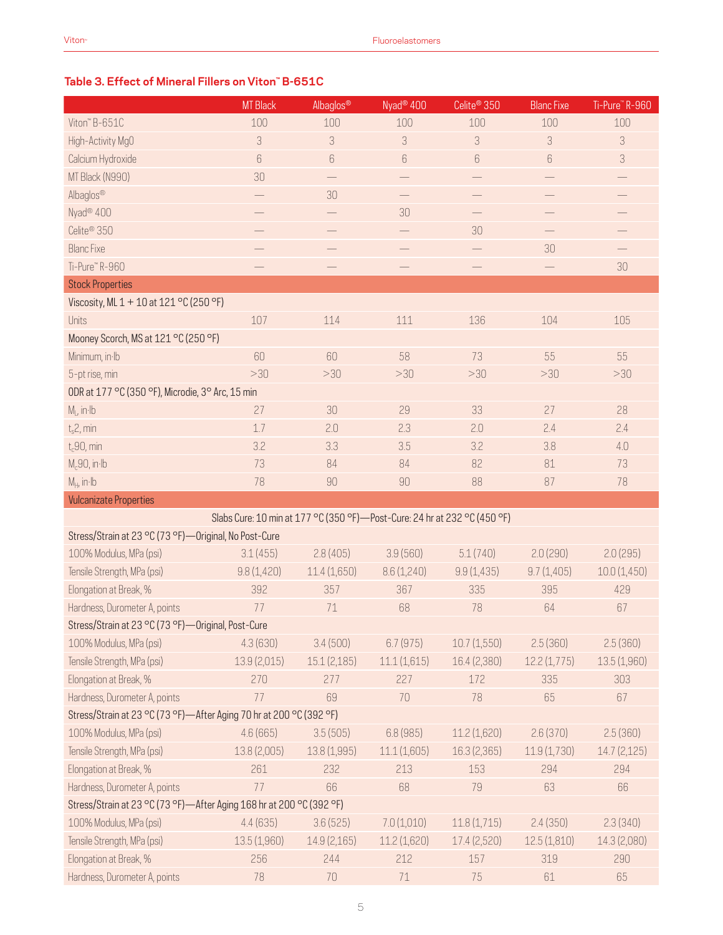# **Table 3. Effect of Mineral Fillers on Viton™ B-651C**

|                                                                      | <b>MT Black</b> | Albaglos <sup>®</sup> | Nyad <sup>®</sup> 400                                                       | Celite <sup>®</sup> 350  | <b>Blanc Fixe</b> | Ti-Pure" R-960 |
|----------------------------------------------------------------------|-----------------|-----------------------|-----------------------------------------------------------------------------|--------------------------|-------------------|----------------|
| Viton" B-651C                                                        | 100             | 100                   | 100                                                                         | 100                      | 100               | 100            |
| High-Activity MgO                                                    | 3               | 3                     | 3                                                                           | 3                        | 3                 | $\sqrt{3}$     |
| Calcium Hydroxide                                                    | $6\,$           | $6\,$                 | $6\,$                                                                       | $\boldsymbol{6}$         | $6\,$             | $\sqrt{3}$     |
| MT Black (N990)                                                      | 30              |                       |                                                                             |                          |                   |                |
| Albaglos®                                                            |                 | 30                    |                                                                             |                          |                   |                |
| Nyad <sup>®</sup> 400                                                |                 |                       | 30                                                                          | $\overline{\phantom{0}}$ |                   |                |
| Celite <sup>®</sup> 350                                              |                 |                       |                                                                             | 30                       |                   |                |
| <b>Blanc Fixe</b>                                                    |                 |                       |                                                                             |                          | 30                |                |
| Ti-Pure™R-960                                                        |                 |                       |                                                                             |                          |                   | 30             |
| <b>Stock Properties</b>                                              |                 |                       |                                                                             |                          |                   |                |
| Viscosity, ML 1 + 10 at 121 °C (250 °F)                              |                 |                       |                                                                             |                          |                   |                |
| Units                                                                | 107             | 114                   | 111                                                                         | 136                      | 104               | 105            |
| Mooney Scorch, MS at 121 °C (250 °F)                                 |                 |                       |                                                                             |                          |                   |                |
| Minimum, in Ib                                                       | 60              | 60                    | 58                                                                          | 73                       | 55                | 55             |
| 5-pt rise, min                                                       | >30             | >30                   | >30                                                                         | >30                      | >30               | >30            |
| ODR at 177 °C (350 °F), Microdie, 3° Arc, 15 min                     |                 |                       |                                                                             |                          |                   |                |
| $M_L$ , in $H$                                                       | 27              | 30                    | 29                                                                          | 33                       | 27                | 28             |
| $t_s$ 2, min                                                         | 1.7             | 2.0                   | 2.3                                                                         | 2.0                      | 2.4               | 2.4            |
| $t_c$ 90, min                                                        | 3.2             | 3.3                   | 3.5                                                                         | 3.2                      | 3.8               | $4.0\,$        |
| $M_c90$ , in Ib                                                      | 73              | 84                    | 84                                                                          | 82                       | 81                | 73             |
| $M_H$ , in Ib                                                        | 78              | $90\,$                | 90                                                                          | 88                       | 87                | 78             |
| <b>Vulcanizate Properties</b>                                        |                 |                       |                                                                             |                          |                   |                |
|                                                                      |                 |                       | Slabs Cure: 10 min at 177 °C (350 °F) - Post-Cure: 24 hr at 232 °C (450 °F) |                          |                   |                |
| Stress/Strain at 23 °C (73 °F) - Original, No Post-Cure              |                 |                       |                                                                             |                          |                   |                |
| 100% Modulus, MPa (psi)                                              | 3.1(455)        | 2.8(405)              | 3.9(560)                                                                    | 5.1(740)                 | 2.0(290)          | 2.0(295)       |
| Tensile Strength, MPa (psi)                                          | 9.8(1,420)      | 11.4(1,650)           | 8.6(1,240)                                                                  | 9.9(1, 435)              | 9.7(1,405)        | 10.0(1,450)    |
| Elongation at Break, %                                               | 392             | 357                   | 367                                                                         | 335                      | 395               | 429            |
| Hardness, Durometer A, points                                        | 77              | 71                    | 68                                                                          | 78                       | 64                | 67             |
| Stress/Strain at 23 °C (73 °F)-Original, Post-Cure                   |                 |                       |                                                                             |                          |                   |                |
| 100% Modulus, MPa (psi)                                              | 4.3(630)        | 3.4(500)              | 6.7(975)                                                                    | 10.7(1,550)              | 2.5(360)          | 2.5(360)       |
| Tensile Strength, MPa (psi)                                          | 13.9(2,015)     | 15.1(2,185)           | 11.1(1,615)                                                                 | 16.4 (2,380)             | 12.2(1,775)       | 13.5(1,960)    |
| Elongation at Break, %                                               | 270             | 277                   | 227                                                                         | 172                      | 335               | 303            |
| Hardness, Durometer A, points                                        | 77              | 69                    | 70                                                                          | 78                       | 65                | 67             |
| Stress/Strain at 23 °C (73 °F)—After Aging 70 hr at 200 °C (392 °F)  |                 |                       |                                                                             |                          |                   |                |
| 100% Modulus, MPa (psi)                                              | 4.6(665)        | 3.5(505)              | 6.8(985)                                                                    | 11.2(1,620)              | 2.6(370)          | 2.5(360)       |
| Tensile Strength, MPa (psi)                                          | 13.8 (2,005)    | 13.8 (1,995)          | 11.1(1,605)                                                                 | 16.3 (2,365)             | 11.9(1,730)       | 14.7(2,125)    |
| Elongation at Break, %                                               | 261             | 232                   | 213                                                                         | 153                      | 294               | 294            |
| Hardness, Durometer A, points                                        | 77              | 66                    | 68                                                                          | 79                       | 63                | 66             |
| Stress/Strain at 23 °C (73 °F)-After Aging 168 hr at 200 °C (392 °F) |                 |                       |                                                                             |                          |                   |                |
| 100% Modulus, MPa (psi)                                              | 4.4(635)        | 3.6(525)              | 7.0(1,010)                                                                  | 11.8(1,715)              | 2.4(350)          | 2.3(340)       |
| Tensile Strength, MPa (psi)                                          | 13.5(1,960)     | 14.9 (2,165)          | 11.2(1,620)                                                                 | 17.4 (2,520)             | 12.5(1,810)       | 14.3 (2,080)   |
| Elongation at Break, %                                               | 256             | 244                   | 212                                                                         | 157                      | 319               | 290            |
| Hardness, Durometer A, points                                        | 78              | 70                    | $71\,$                                                                      | 75                       | 61                | 65             |